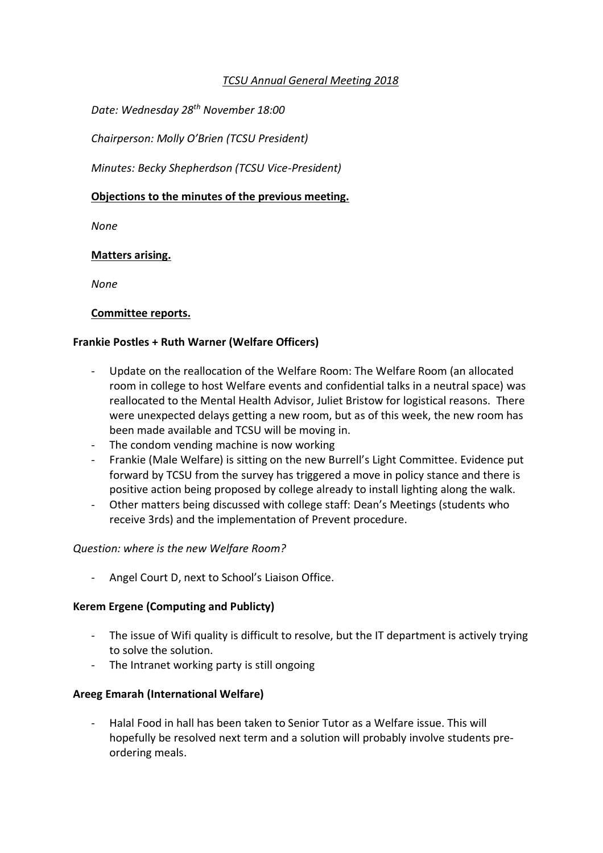# *TCSU Annual General Meeting 2018*

*Date: Wednesday 28th November 18:00*

*Chairperson: Molly O'Brien (TCSU President)*

*Minutes: Becky Shepherdson (TCSU Vice-President)* 

### **Objections to the minutes of the previous meeting.**

*None*

### **Matters arising.**

*None*

### **Committee reports.**

### **Frankie Postles + Ruth Warner (Welfare Officers)**

- Update on the reallocation of the Welfare Room: The Welfare Room (an allocated room in college to host Welfare events and confidential talks in a neutral space) was reallocated to the Mental Health Advisor, Juliet Bristow for logistical reasons. There were unexpected delays getting a new room, but as of this week, the new room has been made available and TCSU will be moving in.
- The condom vending machine is now working
- Frankie (Male Welfare) is sitting on the new Burrell's Light Committee. Evidence put forward by TCSU from the survey has triggered a move in policy stance and there is positive action being proposed by college already to install lighting along the walk.
- Other matters being discussed with college staff: Dean's Meetings (students who receive 3rds) and the implementation of Prevent procedure.

#### *Question: where is the new Welfare Room?*

Angel Court D, next to School's Liaison Office.

# **Kerem Ergene (Computing and Publicty)**

- The issue of Wifi quality is difficult to resolve, but the IT department is actively trying to solve the solution.
- The Intranet working party is still ongoing

#### **Areeg Emarah (International Welfare)**

- Halal Food in hall has been taken to Senior Tutor as a Welfare issue. This will hopefully be resolved next term and a solution will probably involve students preordering meals.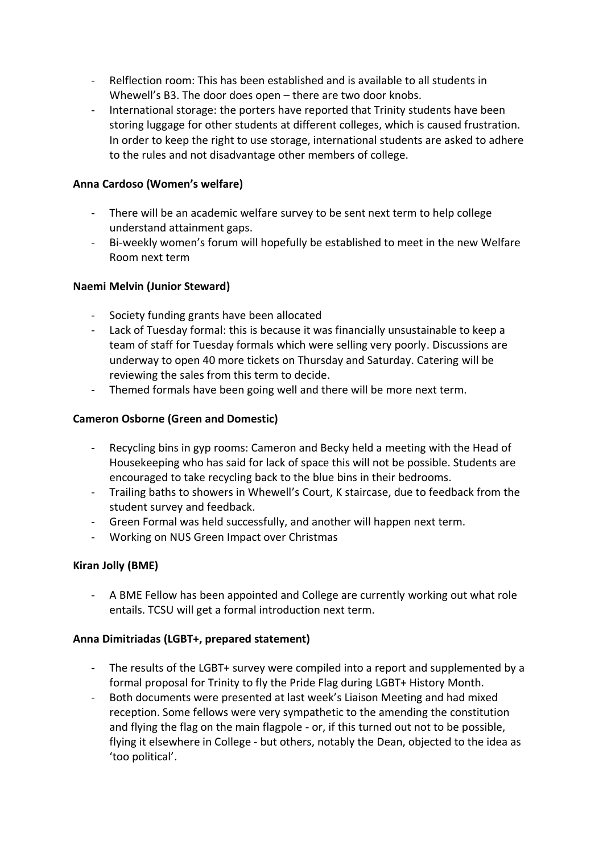- Relflection room: This has been established and is available to all students in Whewell's B3. The door does open – there are two door knobs.
- International storage: the porters have reported that Trinity students have been storing luggage for other students at different colleges, which is caused frustration. In order to keep the right to use storage, international students are asked to adhere to the rules and not disadvantage other members of college.

### **Anna Cardoso (Women's welfare)**

- There will be an academic welfare survey to be sent next term to help college understand attainment gaps.
- Bi-weekly women's forum will hopefully be established to meet in the new Welfare Room next term

### **Naemi Melvin (Junior Steward)**

- Society funding grants have been allocated
- Lack of Tuesday formal: this is because it was financially unsustainable to keep a team of staff for Tuesday formals which were selling very poorly. Discussions are underway to open 40 more tickets on Thursday and Saturday. Catering will be reviewing the sales from this term to decide.
- Themed formals have been going well and there will be more next term.

### **Cameron Osborne (Green and Domestic)**

- Recycling bins in gyp rooms: Cameron and Becky held a meeting with the Head of Housekeeping who has said for lack of space this will not be possible. Students are encouraged to take recycling back to the blue bins in their bedrooms.
- Trailing baths to showers in Whewell's Court, K staircase, due to feedback from the student survey and feedback.
- Green Formal was held successfully, and another will happen next term.
- Working on NUS Green Impact over Christmas

# **Kiran Jolly (BME)**

- A BME Fellow has been appointed and College are currently working out what role entails. TCSU will get a formal introduction next term.

#### **Anna Dimitriadas (LGBT+, prepared statement)**

- The results of the LGBT+ survey were compiled into a report and supplemented by a formal proposal for Trinity to fly the Pride Flag during LGBT+ History Month.
- Both documents were presented at last week's Liaison Meeting and had mixed reception. Some fellows were very sympathetic to the amending the constitution and flying the flag on the main flagpole - or, if this turned out not to be possible, flying it elsewhere in College - but others, notably the Dean, objected to the idea as 'too political'.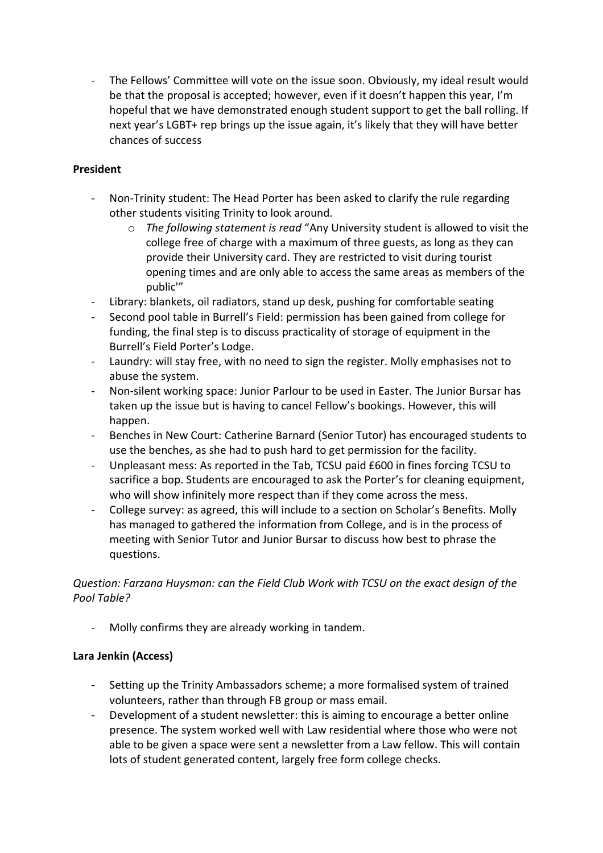The Fellows' Committee will vote on the issue soon. Obviously, my ideal result would be that the proposal is accepted; however, even if it doesn't happen this year, I'm hopeful that we have demonstrated enough student support to get the ball rolling. If next year's LGBT+ rep brings up the issue again, it's likely that they will have better chances of success

# **President**

- Non-Trinity student: The Head Porter has been asked to clarify the rule regarding other students visiting Trinity to look around.
	- o *The following statement is read* "Any University student is allowed to visit the college free of charge with a maximum of three guests, as long as they can provide their University card. They are restricted to visit during tourist opening times and are only able to access the same areas as members of the public'"
- Library: blankets, oil radiators, stand up desk, pushing for comfortable seating
- Second pool table in Burrell's Field: permission has been gained from college for funding, the final step is to discuss practicality of storage of equipment in the Burrell's Field Porter's Lodge.
- Laundry: will stay free, with no need to sign the register. Molly emphasises not to abuse the system.
- Non-silent working space: Junior Parlour to be used in Easter. The Junior Bursar has taken up the issue but is having to cancel Fellow's bookings. However, this will happen.
- Benches in New Court: Catherine Barnard (Senior Tutor) has encouraged students to use the benches, as she had to push hard to get permission for the facility.
- Unpleasant mess: As reported in the Tab, TCSU paid £600 in fines forcing TCSU to sacrifice a bop. Students are encouraged to ask the Porter's for cleaning equipment, who will show infinitely more respect than if they come across the mess.
- College survey: as agreed, this will include to a section on Scholar's Benefits. Molly has managed to gathered the information from College, and is in the process of meeting with Senior Tutor and Junior Bursar to discuss how best to phrase the questions.

# *Question: Farzana Huysman: can the Field Club Work with TCSU on the exact design of the Pool Table?*

Molly confirms they are already working in tandem.

# **Lara Jenkin (Access)**

- Setting up the Trinity Ambassadors scheme; a more formalised system of trained volunteers, rather than through FB group or mass email.
- Development of a student newsletter: this is aiming to encourage a better online presence. The system worked well with Law residential where those who were not able to be given a space were sent a newsletter from a Law fellow. This will contain lots of student generated content, largely free form college checks.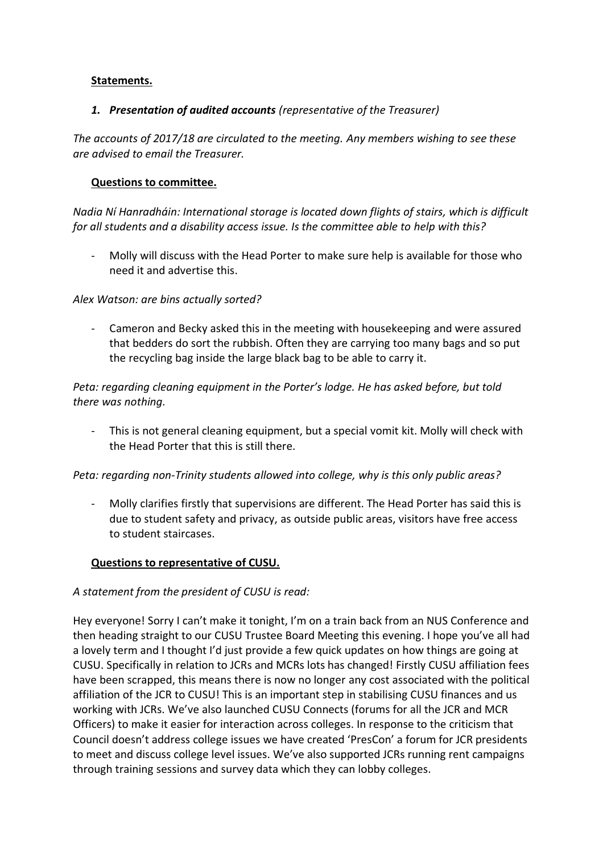# **Statements.**

# *1. Presentation of audited accounts (representative of the Treasurer)*

*The accounts of 2017/18 are circulated to the meeting. Any members wishing to see these are advised to email the Treasurer.*

### **Questions to committee.**

*Nadia Ní Hanradháin: International storage is located down flights of stairs, which is difficult for all students and a disability access issue. Is the committee able to help with this?*

- Molly will discuss with the Head Porter to make sure help is available for those who need it and advertise this.

### *Alex Watson: are bins actually sorted?*

Cameron and Becky asked this in the meeting with housekeeping and were assured that bedders do sort the rubbish. Often they are carrying too many bags and so put the recycling bag inside the large black bag to be able to carry it.

*Peta: regarding cleaning equipment in the Porter's lodge. He has asked before, but told there was nothing.*

This is not general cleaning equipment, but a special vomit kit. Molly will check with the Head Porter that this is still there.

#### *Peta: regarding non-Trinity students allowed into college, why is this only public areas?*

- Molly clarifies firstly that supervisions are different. The Head Porter has said this is due to student safety and privacy, as outside public areas, visitors have free access to student staircases.

#### **Questions to representative of CUSU.**

# *A statement from the president of CUSU is read:*

Hey everyone! Sorry I can't make it tonight, I'm on a train back from an NUS Conference and then heading straight to our CUSU Trustee Board Meeting this evening. I hope you've all had a lovely term and I thought I'd just provide a few quick updates on how things are going at CUSU. Specifically in relation to JCRs and MCRs lots has changed! Firstly CUSU affiliation fees have been scrapped, this means there is now no longer any cost associated with the political affiliation of the JCR to CUSU! This is an important step in stabilising CUSU finances and us working with JCRs. We've also launched CUSU Connects (forums for all the JCR and MCR Officers) to make it easier for interaction across colleges. In response to the criticism that Council doesn't address college issues we have created 'PresCon' a forum for JCR presidents to meet and discuss college level issues. We've also supported JCRs running rent campaigns through training sessions and survey data which they can lobby colleges.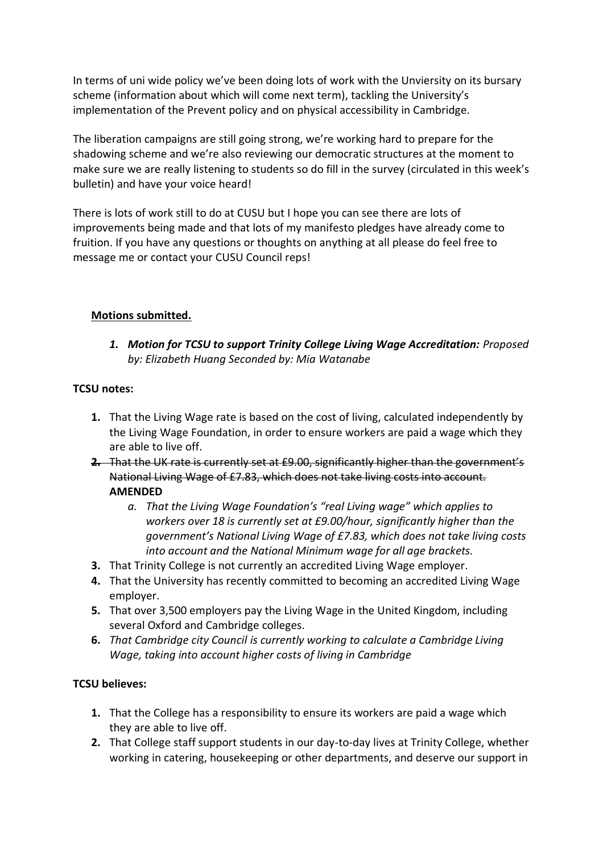In terms of uni wide policy we've been doing lots of work with the Unviersity on its bursary scheme (information about which will come next term), tackling the University's implementation of the Prevent policy and on physical accessibility in Cambridge.

The liberation campaigns are still going strong, we're working hard to prepare for the shadowing scheme and we're also reviewing our democratic structures at the moment to make sure we are really listening to students so do fill in the survey (circulated in this week's bulletin) and have your voice heard!

There is lots of work still to do at CUSU but I hope you can see there are lots of improvements being made and that lots of my manifesto pledges have already come to fruition. If you have any questions or thoughts on anything at all please do feel free to message me or contact your CUSU Council reps!

# **Motions submitted.**

*1. Motion for TCSU to support Trinity College Living Wage Accreditation: Proposed by: Elizabeth Huang Seconded by: Mia Watanabe*

### **TCSU notes:**

- **1.** That the Living Wage rate is based on the cost of living, calculated independently by the Living Wage Foundation, in order to ensure workers are paid a wage which they are able to live off.
- **2.** That the UK rate is currently set at £9.00, significantly higher than the government's National Living Wage of £7.83, which does not take living costs into account. **AMENDED**
	- *a. That the Living Wage Foundation's "real Living wage" which applies to workers over 18 is currently set at £9.00/hour, significantly higher than the government's National Living Wage of £7.83, which does not take living costs into account and the National Minimum wage for all age brackets.*
- **3.** That Trinity College is not currently an accredited Living Wage employer.
- **4.** That the University has recently committed to becoming an accredited Living Wage employer.
- **5.** That over 3,500 employers pay the Living Wage in the United Kingdom, including several Oxford and Cambridge colleges.
- **6.** *That Cambridge city Council is currently working to calculate a Cambridge Living Wage, taking into account higher costs of living in Cambridge*

#### **TCSU believes:**

- **1.** That the College has a responsibility to ensure its workers are paid a wage which they are able to live off.
- **2.** That College staff support students in our day-to-day lives at Trinity College, whether working in catering, housekeeping or other departments, and deserve our support in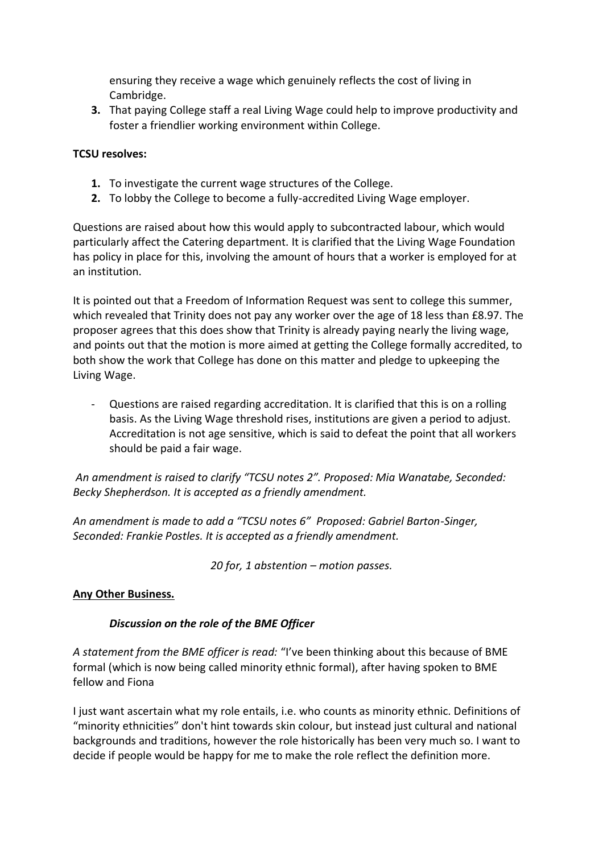ensuring they receive a wage which genuinely reflects the cost of living in Cambridge.

**3.** That paying College staff a real Living Wage could help to improve productivity and foster a friendlier working environment within College.

# **TCSU resolves:**

- **1.** To investigate the current wage structures of the College.
- **2.** To lobby the College to become a fully-accredited Living Wage employer.

Questions are raised about how this would apply to subcontracted labour, which would particularly affect the Catering department. It is clarified that the Living Wage Foundation has policy in place for this, involving the amount of hours that a worker is employed for at an institution.

It is pointed out that a Freedom of Information Request was sent to college this summer, which revealed that Trinity does not pay any worker over the age of 18 less than £8.97. The proposer agrees that this does show that Trinity is already paying nearly the living wage, and points out that the motion is more aimed at getting the College formally accredited, to both show the work that College has done on this matter and pledge to upkeeping the Living Wage.

- Questions are raised regarding accreditation. It is clarified that this is on a rolling basis. As the Living Wage threshold rises, institutions are given a period to adjust. Accreditation is not age sensitive, which is said to defeat the point that all workers should be paid a fair wage.

*An amendment is raised to clarify "TCSU notes 2". Proposed: Mia Wanatabe, Seconded: Becky Shepherdson. It is accepted as a friendly amendment.* 

*An amendment is made to add a "TCSU notes 6" Proposed: Gabriel Barton-Singer, Seconded: Frankie Postles. It is accepted as a friendly amendment.* 

*20 for, 1 abstention – motion passes.*

# **Any Other Business.**

# *Discussion on the role of the BME Officer*

*A statement from the BME officer is read:* "I've been thinking about this because of BME formal (which is now being called minority ethnic formal), after having spoken to BME fellow and Fiona

I just want ascertain what my role entails, i.e. who counts as minority ethnic. Definitions of "minority ethnicities" don't hint towards skin colour, but instead just cultural and national backgrounds and traditions, however the role historically has been very much so. I want to decide if people would be happy for me to make the role reflect the definition more.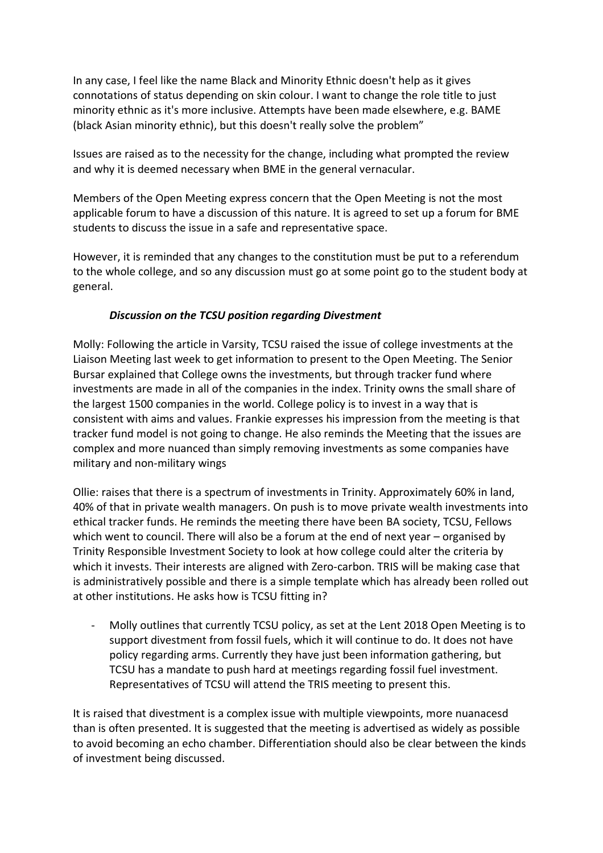In any case, I feel like the name Black and Minority Ethnic doesn't help as it gives connotations of status depending on skin colour. I want to change the role title to just minority ethnic as it's more inclusive. Attempts have been made elsewhere, e.g. BAME (black Asian minority ethnic), but this doesn't really solve the problem"

Issues are raised as to the necessity for the change, including what prompted the review and why it is deemed necessary when BME in the general vernacular.

Members of the Open Meeting express concern that the Open Meeting is not the most applicable forum to have a discussion of this nature. It is agreed to set up a forum for BME students to discuss the issue in a safe and representative space.

However, it is reminded that any changes to the constitution must be put to a referendum to the whole college, and so any discussion must go at some point go to the student body at general.

### *Discussion on the TCSU position regarding Divestment*

Molly: Following the article in Varsity, TCSU raised the issue of college investments at the Liaison Meeting last week to get information to present to the Open Meeting. The Senior Bursar explained that College owns the investments, but through tracker fund where investments are made in all of the companies in the index. Trinity owns the small share of the largest 1500 companies in the world. College policy is to invest in a way that is consistent with aims and values. Frankie expresses his impression from the meeting is that tracker fund model is not going to change. He also reminds the Meeting that the issues are complex and more nuanced than simply removing investments as some companies have military and non-military wings

Ollie: raises that there is a spectrum of investments in Trinity. Approximately 60% in land, 40% of that in private wealth managers. On push is to move private wealth investments into ethical tracker funds. He reminds the meeting there have been BA society, TCSU, Fellows which went to council. There will also be a forum at the end of next year – organised by Trinity Responsible Investment Society to look at how college could alter the criteria by which it invests. Their interests are aligned with Zero-carbon. TRIS will be making case that is administratively possible and there is a simple template which has already been rolled out at other institutions. He asks how is TCSU fitting in?

Molly outlines that currently TCSU policy, as set at the Lent 2018 Open Meeting is to support divestment from fossil fuels, which it will continue to do. It does not have policy regarding arms. Currently they have just been information gathering, but TCSU has a mandate to push hard at meetings regarding fossil fuel investment. Representatives of TCSU will attend the TRIS meeting to present this.

It is raised that divestment is a complex issue with multiple viewpoints, more nuanacesd than is often presented. It is suggested that the meeting is advertised as widely as possible to avoid becoming an echo chamber. Differentiation should also be clear between the kinds of investment being discussed.